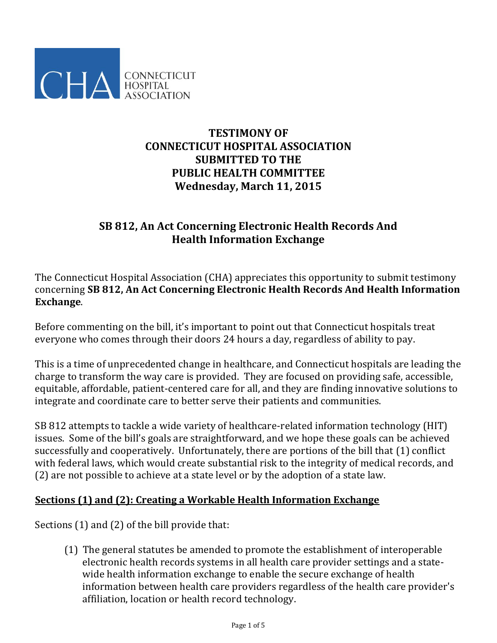

# **TESTIMONY OF CONNECTICUT HOSPITAL ASSOCIATION SUBMITTED TO THE PUBLIC HEALTH COMMITTEE Wednesday, March 11, 2015**

# **SB 812, An Act Concerning Electronic Health Records And Health Information Exchange**

The Connecticut Hospital Association (CHA) appreciates this opportunity to submit testimony concerning **SB 812, An Act Concerning Electronic Health Records And Health Information Exchange**.

Before commenting on the bill, it's important to point out that Connecticut hospitals treat everyone who comes through their doors 24 hours a day, regardless of ability to pay.

This is a time of unprecedented change in healthcare, and Connecticut hospitals are leading the charge to transform the way care is provided. They are focused on providing safe, accessible, equitable, affordable, patient-centered care for all, and they are finding innovative solutions to integrate and coordinate care to better serve their patients and communities.

SB 812 attempts to tackle a wide variety of healthcare-related information technology (HIT) issues. Some of the bill's goals are straightforward, and we hope these goals can be achieved successfully and cooperatively. Unfortunately, there are portions of the bill that (1) conflict with federal laws, which would create substantial risk to the integrity of medical records, and (2) are not possible to achieve at a state level or by the adoption of a state law.

#### **Sections (1) and (2): Creating a Workable Health Information Exchange**

Sections (1) and (2) of the bill provide that:

(1) The general statutes be amended to promote the establishment of interoperable electronic health records systems in all health care provider settings and a statewide health information exchange to enable the secure exchange of health information between health care providers regardless of the health care provider's affiliation, location or health record technology.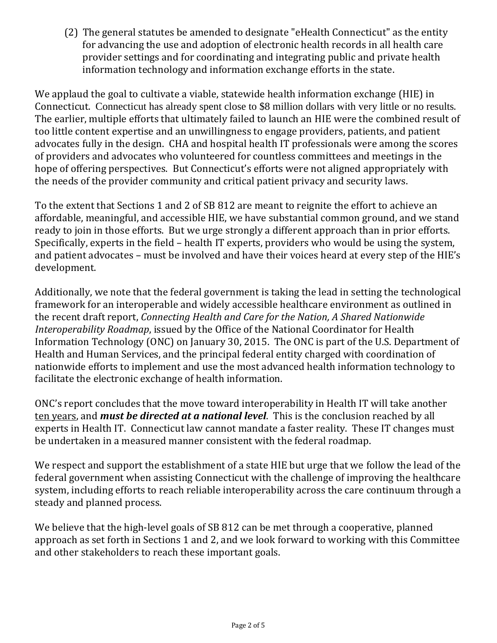(2) The general statutes be amended to designate "eHealth Connecticut" as the entity for advancing the use and adoption of electronic health records in all health care provider settings and for coordinating and integrating public and private health information technology and information exchange efforts in the state.

We applaud the goal to cultivate a viable, statewide health information exchange (HIE) in Connecticut. Connecticut has already spent close to \$8 million dollars with very little or no results. The earlier, multiple efforts that ultimately failed to launch an HIE were the combined result of too little content expertise and an unwillingness to engage providers, patients, and patient advocates fully in the design. CHA and hospital health IT professionals were among the scores of providers and advocates who volunteered for countless committees and meetings in the hope of offering perspectives. But Connecticut's efforts were not aligned appropriately with the needs of the provider community and critical patient privacy and security laws.

To the extent that Sections 1 and 2 of SB 812 are meant to reignite the effort to achieve an affordable, meaningful, and accessible HIE, we have substantial common ground, and we stand ready to join in those efforts. But we urge strongly a different approach than in prior efforts. Specifically, experts in the field – health IT experts, providers who would be using the system, and patient advocates – must be involved and have their voices heard at every step of the HIE's development.

Additionally, we note that the federal government is taking the lead in setting the technological framework for an interoperable and widely accessible healthcare environment as outlined in the recent draft report, *Connecting Health and Care for the Nation, A Shared Nationwide Interoperability Roadmap*, issued by the Office of the National Coordinator for Health Information Technology (ONC) on January 30, 2015. The ONC is part of the U.S. Department of Health and Human Services, and the principal federal entity charged with coordination of nationwide efforts to implement and use the most advanced health information technology to facilitate the electronic exchange of health information.

ONC's report concludes that the move toward interoperability in Health IT will take another ten years, and *must be directed at a national level*. This is the conclusion reached by all experts in Health IT. Connecticut law cannot mandate a faster reality. These IT changes must be undertaken in a measured manner consistent with the federal roadmap.

We respect and support the establishment of a state HIE but urge that we follow the lead of the federal government when assisting Connecticut with the challenge of improving the healthcare system, including efforts to reach reliable interoperability across the care continuum through a steady and planned process.

We believe that the high-level goals of SB 812 can be met through a cooperative, planned approach as set forth in Sections 1 and 2, and we look forward to working with this Committee and other stakeholders to reach these important goals.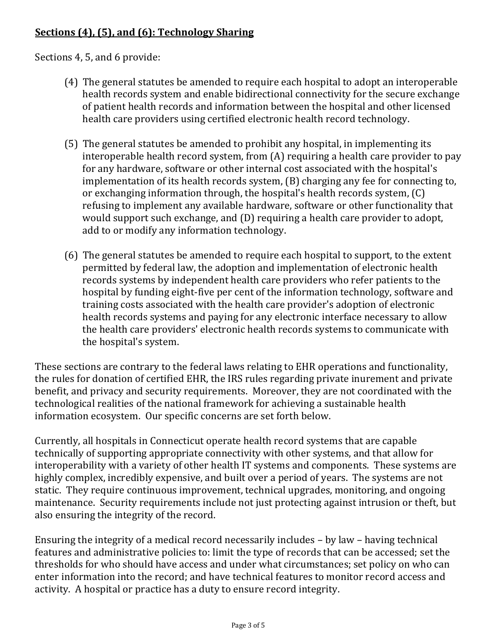## **Sections (4), (5), and (6): Technology Sharing**

Sections 4, 5, and 6 provide:

- (4) The general statutes be amended to require each hospital to adopt an interoperable health records system and enable bidirectional connectivity for the secure exchange of patient health records and information between the hospital and other licensed health care providers using certified electronic health record technology.
- (5) The general statutes be amended to prohibit any hospital, in implementing its interoperable health record system, from (A) requiring a health care provider to pay for any hardware, software or other internal cost associated with the hospital's implementation of its health records system, (B) charging any fee for connecting to, or exchanging information through, the hospital's health records system, (C) refusing to implement any available hardware, software or other functionality that would support such exchange, and (D) requiring a health care provider to adopt, add to or modify any information technology.
- (6) The general statutes be amended to require each hospital to support, to the extent permitted by federal law, the adoption and implementation of electronic health records systems by independent health care providers who refer patients to the hospital by funding eight-five per cent of the information technology, software and training costs associated with the health care provider's adoption of electronic health records systems and paying for any electronic interface necessary to allow the health care providers' electronic health records systems to communicate with the hospital's system.

These sections are contrary to the federal laws relating to EHR operations and functionality, the rules for donation of certified EHR, the IRS rules regarding private inurement and private benefit, and privacy and security requirements. Moreover, they are not coordinated with the technological realities of the national framework for achieving a sustainable health information ecosystem. Our specific concerns are set forth below.

Currently, all hospitals in Connecticut operate health record systems that are capable technically of supporting appropriate connectivity with other systems, and that allow for interoperability with a variety of other health IT systems and components. These systems are highly complex, incredibly expensive, and built over a period of years. The systems are not static. They require continuous improvement, technical upgrades, monitoring, and ongoing maintenance. Security requirements include not just protecting against intrusion or theft, but also ensuring the integrity of the record.

Ensuring the integrity of a medical record necessarily includes – by law – having technical features and administrative policies to: limit the type of records that can be accessed; set the thresholds for who should have access and under what circumstances; set policy on who can enter information into the record; and have technical features to monitor record access and activity. A hospital or practice has a duty to ensure record integrity.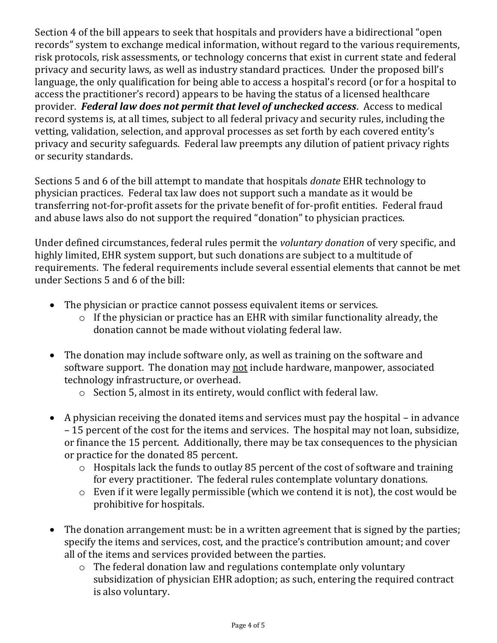Section 4 of the bill appears to seek that hospitals and providers have a bidirectional "open records" system to exchange medical information, without regard to the various requirements, risk protocols, risk assessments, or technology concerns that exist in current state and federal privacy and security laws, as well as industry standard practices. Under the proposed bill's language, the only qualification for being able to access a hospital's record (or for a hospital to access the practitioner's record) appears to be having the status of a licensed healthcare provider. *Federal law does not permit that level of unchecked access*. Access to medical record systems is, at all times, subject to all federal privacy and security rules, including the vetting, validation, selection, and approval processes as set forth by each covered entity's privacy and security safeguards. Federal law preempts any dilution of patient privacy rights or security standards.

Sections 5 and 6 of the bill attempt to mandate that hospitals *donate* EHR technology to physician practices. Federal tax law does not support such a mandate as it would be transferring not-for-profit assets for the private benefit of for-profit entities. Federal fraud and abuse laws also do not support the required "donation" to physician practices.

Under defined circumstances, federal rules permit the *voluntary donation* of very specific, and highly limited, EHR system support, but such donations are subject to a multitude of requirements. The federal requirements include several essential elements that cannot be met under Sections 5 and 6 of the bill:

- The physician or practice cannot possess equivalent items or services.
	- $\circ$  If the physician or practice has an EHR with similar functionality already, the donation cannot be made without violating federal law.
- The donation may include software only, as well as training on the software and software support. The donation may not include hardware, manpower, associated technology infrastructure, or overhead.
	- o Section 5, almost in its entirety, would conflict with federal law.
- A physician receiving the donated items and services must pay the hospital in advance – 15 percent of the cost for the items and services. The hospital may not loan, subsidize, or finance the 15 percent. Additionally, there may be tax consequences to the physician or practice for the donated 85 percent.
	- o Hospitals lack the funds to outlay 85 percent of the cost of software and training for every practitioner. The federal rules contemplate voluntary donations.
	- o Even if it were legally permissible (which we contend it is not), the cost would be prohibitive for hospitals.
- The donation arrangement must: be in a written agreement that is signed by the parties; specify the items and services, cost, and the practice's contribution amount; and cover all of the items and services provided between the parties.
	- o The federal donation law and regulations contemplate only voluntary subsidization of physician EHR adoption; as such, entering the required contract is also voluntary.